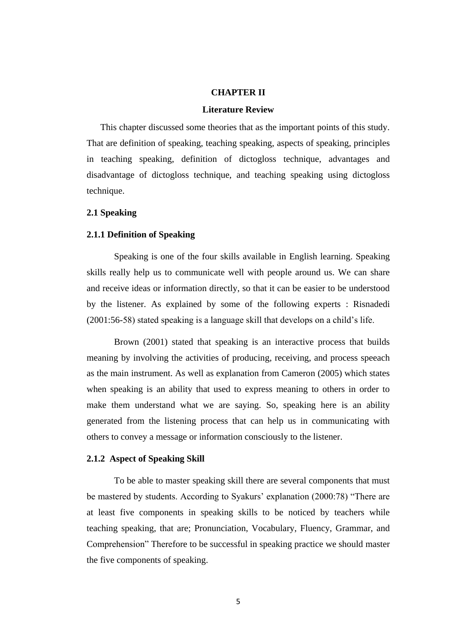# **CHAPTER II**

## **Literature Review**

This chapter discussed some theories that as the important points of this study. That are definition of speaking, teaching speaking, aspects of speaking, principles in teaching speaking, definition of dictogloss technique, advantages and disadvantage of dictogloss technique, and teaching speaking using dictogloss technique.

## **2.1 Speaking**

## **2.1.1 Definition of Speaking**

Speaking is one of the four skills available in English learning. Speaking skills really help us to communicate well with people around us. We can share and receive ideas or information directly, so that it can be easier to be understood by the listener. As explained by some of the following experts : Risnadedi (2001:56-58) stated speaking is a language skill that develops on a child's life.

Brown (2001) stated that speaking is an interactive process that builds meaning by involving the activities of producing, receiving, and process speeach as the main instrument. As well as explanation from Cameron (2005) which states when speaking is an ability that used to express meaning to others in order to make them understand what we are saying. So, speaking here is an ability generated from the listening process that can help us in communicating with others to convey a message or information consciously to the listener.

#### **2.1.2 Aspect of Speaking Skill**

To be able to master speaking skill there are several components that must be mastered by students. According to Syakurs' explanation (2000:78) "There are at least five components in speaking skills to be noticed by teachers while teaching speaking, that are; Pronunciation, Vocabulary, Fluency, Grammar, and Comprehension" Therefore to be successful in speaking practice we should master the five components of speaking.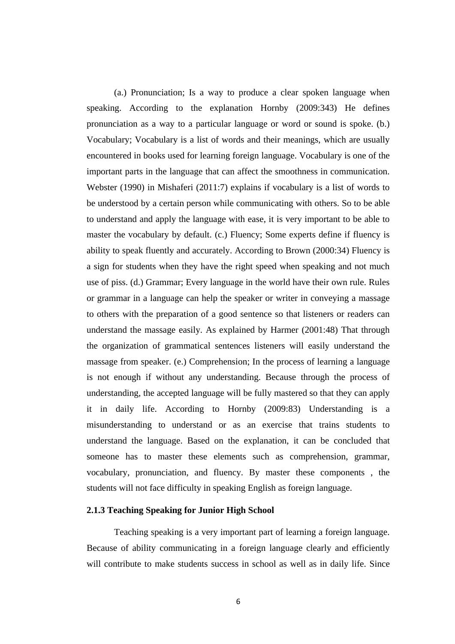(a.) Pronunciation; Is a way to produce a clear spoken language when speaking. According to the explanation Hornby (2009:343) He defines pronunciation as a way to a particular language or word or sound is spoke. (b.) Vocabulary; Vocabulary is a list of words and their meanings, which are usually encountered in books used for learning foreign language. Vocabulary is one of the important parts in the language that can affect the smoothness in communication. Webster (1990) in Mishaferi (2011:7) explains if vocabulary is a list of words to be understood by a certain person while communicating with others. So to be able to understand and apply the language with ease, it is very important to be able to master the vocabulary by default. (c.) Fluency; Some experts define if fluency is ability to speak fluently and accurately. According to Brown (2000:34) Fluency is a sign for students when they have the right speed when speaking and not much use of piss. (d.) Grammar; Every language in the world have their own rule. Rules or grammar in a language can help the speaker or writer in conveying a massage to others with the preparation of a good sentence so that listeners or readers can understand the massage easily. As explained by Harmer (2001:48) That through the organization of grammatical sentences listeners will easily understand the massage from speaker. (e.) Comprehension; In the process of learning a language is not enough if without any understanding. Because through the process of understanding, the accepted language will be fully mastered so that they can apply it in daily life. According to Hornby (2009:83) Understanding is a misunderstanding to understand or as an exercise that trains students to understand the language. Based on the explanation, it can be concluded that someone has to master these elements such as comprehension, grammar, vocabulary, pronunciation, and fluency. By master these components , the students will not face difficulty in speaking English as foreign language.

## **2.1.3 Teaching Speaking for Junior High School**

Teaching speaking is a very important part of learning a foreign language. Because of ability communicating in a foreign language clearly and efficiently will contribute to make students success in school as well as in daily life. Since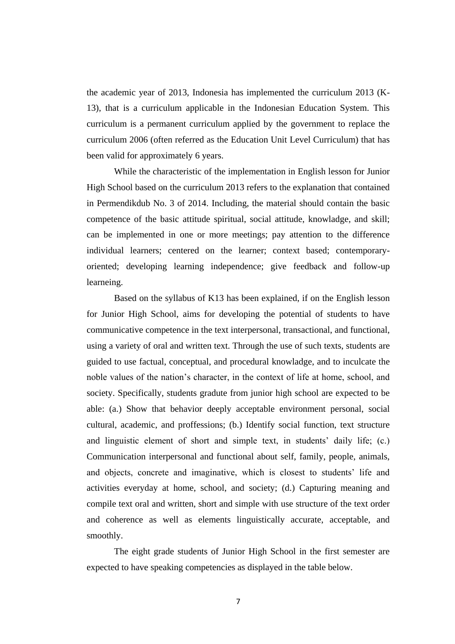the academic year of 2013, Indonesia has implemented the curriculum 2013 (K-13), that is a curriculum applicable in the Indonesian Education System. This curriculum is a permanent curriculum applied by the government to replace the curriculum 2006 (often referred as the Education Unit Level Curriculum) that has been valid for approximately 6 years.

While the characteristic of the implementation in English lesson for Junior High School based on the curriculum 2013 refers to the explanation that contained in Permendikdub No. 3 of 2014. Including, the material should contain the basic competence of the basic attitude spiritual, social attitude, knowladge, and skill; can be implemented in one or more meetings; pay attention to the difference individual learners; centered on the learner; context based; contemporaryoriented; developing learning independence; give feedback and follow-up learneing.

Based on the syllabus of K13 has been explained, if on the English lesson for Junior High School, aims for developing the potential of students to have communicative competence in the text interpersonal, transactional, and functional, using a variety of oral and written text. Through the use of such texts, students are guided to use factual, conceptual, and procedural knowladge, and to inculcate the noble values of the nation's character, in the context of life at home, school, and society. Specifically, students gradute from junior high school are expected to be able: (a.) Show that behavior deeply acceptable environment personal, social cultural, academic, and proffessions; (b.) Identify social function, text structure and linguistic element of short and simple text, in students' daily life; (c.) Communication interpersonal and functional about self, family, people, animals, and objects, concrete and imaginative, which is closest to students' life and activities everyday at home, school, and society; (d.) Capturing meaning and compile text oral and written, short and simple with use structure of the text order and coherence as well as elements linguistically accurate, acceptable, and smoothly.

The eight grade students of Junior High School in the first semester are expected to have speaking competencies as displayed in the table below.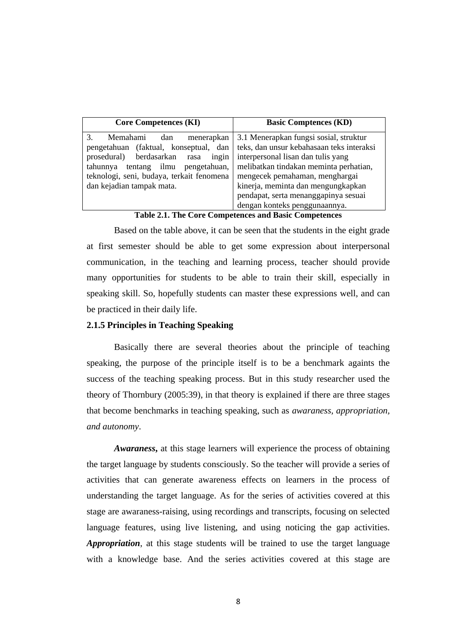| <b>Core Competences (KI)</b>                                                                                                                                                                                                             | <b>Basic Comptences (KD)</b>                                                                                                                                                                                                                |
|------------------------------------------------------------------------------------------------------------------------------------------------------------------------------------------------------------------------------------------|---------------------------------------------------------------------------------------------------------------------------------------------------------------------------------------------------------------------------------------------|
| 3.<br>Memahami<br>menerapkan<br>dan<br>pengetahuan (faktual, konseptual, dan<br>ingin<br>prosedural) berdasarkan rasa<br>tentang ilmu pengetahuan,<br>tahunnya<br>teknologi, seni, budaya, terkait fenomena<br>dan kejadian tampak mata. | 3.1 Menerapkan fungsi sosial, struktur<br>teks, dan unsur kebahasaan teks interaksi<br>interpersonal lisan dan tulis yang<br>melibatkan tindakan meminta perhatian,<br>mengecek pemahaman, menghargai<br>kinerja, meminta dan mengungkapkan |
|                                                                                                                                                                                                                                          | pendapat, serta menanggapinya sesuai<br>dengan konteks penggunaannya.                                                                                                                                                                       |

**Table 2.1. The Core Competences and Basic Competences**

Based on the table above, it can be seen that the students in the eight grade at first semester should be able to get some expression about interpersonal communication, in the teaching and learning process, teacher should provide many opportunities for students to be able to train their skill, especially in speaking skill. So, hopefully students can master these expressions well, and can be practiced in their daily life.

# **2.1.5 Principles in Teaching Speaking**

Basically there are several theories about the principle of teaching speaking, the purpose of the principle itself is to be a benchmark againts the success of the teaching speaking process. But in this study researcher used the theory of Thornbury (2005:39), in that theory is explained if there are three stages that become benchmarks in teaching speaking, such as *awaraness, appropriation, and autonomy*.

*Awaraness***,** at this stage learners will experience the process of obtaining the target language by students consciously. So the teacher will provide a series of activities that can generate awareness effects on learners in the process of understanding the target language. As for the series of activities covered at this stage are awaraness-raising, using recordings and transcripts, focusing on selected language features, using live listening, and using noticing the gap activities. *Appropriation*, at this stage students will be trained to use the target language with a knowledge base. And the series activities covered at this stage are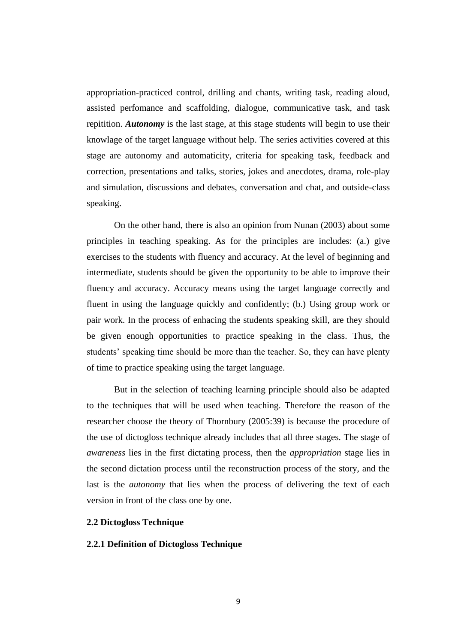appropriation-practiced control, drilling and chants, writing task, reading aloud, assisted perfomance and scaffolding, dialogue, communicative task, and task repitition. *Autonomy* is the last stage, at this stage students will begin to use their knowlage of the target language without help. The series activities covered at this stage are autonomy and automaticity, criteria for speaking task, feedback and correction, presentations and talks, stories, jokes and anecdotes, drama, role-play and simulation, discussions and debates, conversation and chat, and outside-class speaking.

On the other hand, there is also an opinion from Nunan (2003) about some principles in teaching speaking. As for the principles are includes: (a.) give exercises to the students with fluency and accuracy. At the level of beginning and intermediate, students should be given the opportunity to be able to improve their fluency and accuracy. Accuracy means using the target language correctly and fluent in using the language quickly and confidently; (b.) Using group work or pair work. In the process of enhacing the students speaking skill, are they should be given enough opportunities to practice speaking in the class. Thus, the students' speaking time should be more than the teacher. So, they can have plenty of time to practice speaking using the target language.

But in the selection of teaching learning principle should also be adapted to the techniques that will be used when teaching. Therefore the reason of the researcher choose the theory of Thornbury (2005:39) is because the procedure of the use of dictogloss technique already includes that all three stages. The stage of *awareness* lies in the first dictating process, then the *appropriation* stage lies in the second dictation process until the reconstruction process of the story, and the last is the *autonomy* that lies when the process of delivering the text of each version in front of the class one by one.

# **2.2 Dictogloss Technique**

# **2.2.1 Definition of Dictogloss Technique**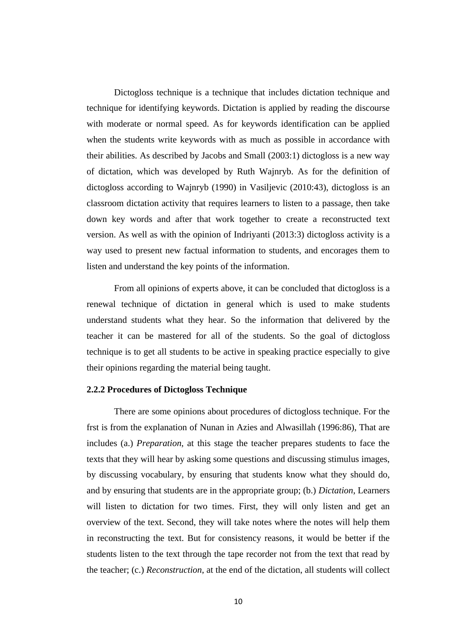Dictogloss technique is a technique that includes dictation technique and technique for identifying keywords. Dictation is applied by reading the discourse with moderate or normal speed. As for keywords identification can be applied when the students write keywords with as much as possible in accordance with their abilities. As described by Jacobs and Small (2003:1) dictogloss is a new way of dictation, which was developed by Ruth Wajnryb. As for the definition of dictogloss according to Wajnryb (1990) in Vasiljevic (2010:43), dictogloss is an classroom dictation activity that requires learners to listen to a passage, then take down key words and after that work together to create a reconstructed text version. As well as with the opinion of Indriyanti (2013:3) dictogloss activity is a way used to present new factual information to students, and encorages them to listen and understand the key points of the information.

From all opinions of experts above, it can be concluded that dictogloss is a renewal technique of dictation in general which is used to make students understand students what they hear. So the information that delivered by the teacher it can be mastered for all of the students. So the goal of dictogloss technique is to get all students to be active in speaking practice especially to give their opinions regarding the material being taught.

#### **2.2.2 Procedures of Dictogloss Technique**

There are some opinions about procedures of dictogloss technique. For the frst is from the explanation of Nunan in Azies and Alwasillah (1996:86), That are includes (a.) *Preparation*, at this stage the teacher prepares students to face the texts that they will hear by asking some questions and discussing stimulus images, by discussing vocabulary, by ensuring that students know what they should do, and by ensuring that students are in the appropriate group; (b.) *Dictation*, Learners will listen to dictation for two times. First, they will only listen and get an overview of the text. Second, they will take notes where the notes will help them in reconstructing the text. But for consistency reasons, it would be better if the students listen to the text through the tape recorder not from the text that read by the teacher; (c.) *Reconstruction*, at the end of the dictation, all students will collect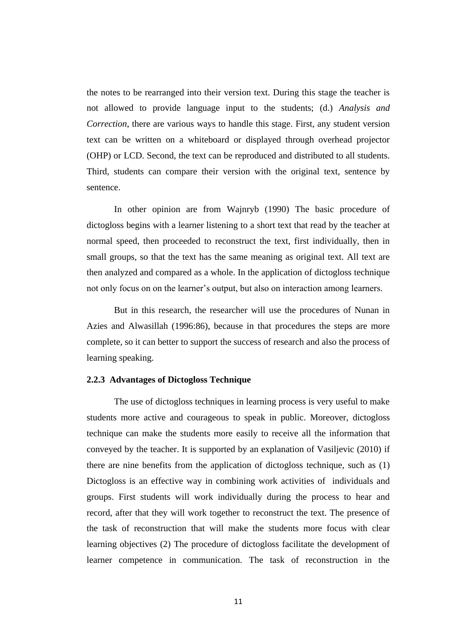the notes to be rearranged into their version text. During this stage the teacher is not allowed to provide language input to the students; (d.) *Analysis and Correction*, there are various ways to handle this stage. First, any student version text can be written on a whiteboard or displayed through overhead projector (OHP) or LCD. Second, the text can be reproduced and distributed to all students. Third, students can compare their version with the original text, sentence by sentence.

In other opinion are from Wajnryb (1990) The basic procedure of dictogloss begins with a learner listening to a short text that read by the teacher at normal speed, then proceeded to reconstruct the text, first individually, then in small groups, so that the text has the same meaning as original text. All text are then analyzed and compared as a whole. In the application of dictogloss technique not only focus on on the learner's output, but also on interaction among learners.

But in this research, the researcher will use the procedures of Nunan in Azies and Alwasillah (1996:86), because in that procedures the steps are more complete, so it can better to support the success of research and also the process of learning speaking.

# **2.2.3 Advantages of Dictogloss Technique**

The use of dictogloss techniques in learning process is very useful to make students more active and courageous to speak in public. Moreover, dictogloss technique can make the students more easily to receive all the information that conveyed by the teacher. It is supported by an explanation of Vasiljevic (2010) if there are nine benefits from the application of dictogloss technique, such as (1) Dictogloss is an effective way in combining work activities of individuals and groups. First students will work individually during the process to hear and record, after that they will work together to reconstruct the text. The presence of the task of reconstruction that will make the students more focus with clear learning objectives (2) The procedure of dictogloss facilitate the development of learner competence in communication. The task of reconstruction in the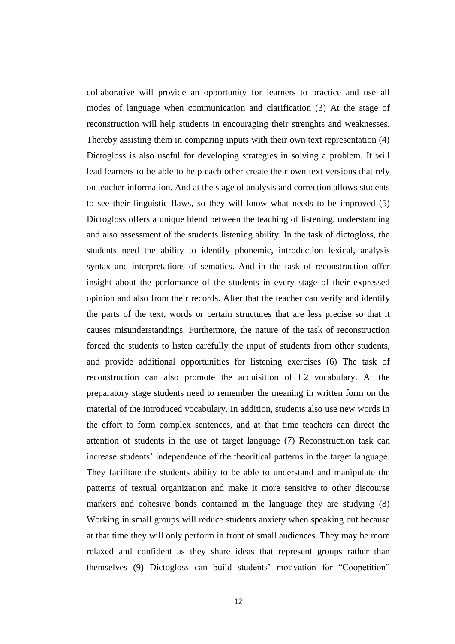collaborative will provide an opportunity for learners to practice and use all modes of language when communication and clarification (3) At the stage of reconstruction will help students in encouraging their strenghts and weaknesses. Thereby assisting them in comparing inputs with their own text representation (4) Dictogloss is also useful for developing strategies in solving a problem. It will lead learners to be able to help each other create their own text versions that rely on teacher information. And at the stage of analysis and correction allows students to see their linguistic flaws, so they will know what needs to be improved (5) Dictogloss offers a unique blend between the teaching of listening, understanding and also assessment of the students listening ability. In the task of dictogloss, the students need the ability to identify phonemic, introduction lexical, analysis syntax and interpretations of sematics. And in the task of reconstruction offer insight about the perfomance of the students in every stage of their expressed opinion and also from their records. After that the teacher can verify and identify the parts of the text, words or certain structures that are less precise so that it causes misunderstandings. Furthermore, the nature of the task of reconstruction forced the students to listen carefully the input of students from other students, and provide additional opportunities for listening exercises (6) The task of reconstruction can also promote the acquisition of L2 vocabulary. At the preparatory stage students need to remember the meaning in written form on the material of the introduced vocabulary. In addition, students also use new words in the effort to form complex sentences, and at that time teachers can direct the attention of students in the use of target language (7) Reconstruction task can increase students' independence of the theoritical patterns in the target language. They facilitate the students ability to be able to understand and manipulate the patterns of textual organization and make it more sensitive to other discourse markers and cohesive bonds contained in the language they are studying (8) Working in small groups will reduce students anxiety when speaking out because at that time they will only perform in front of small audiences. They may be more relaxed and confident as they share ideas that represent groups rather than themselves (9) Dictogloss can build students' motivation for "Coopetition"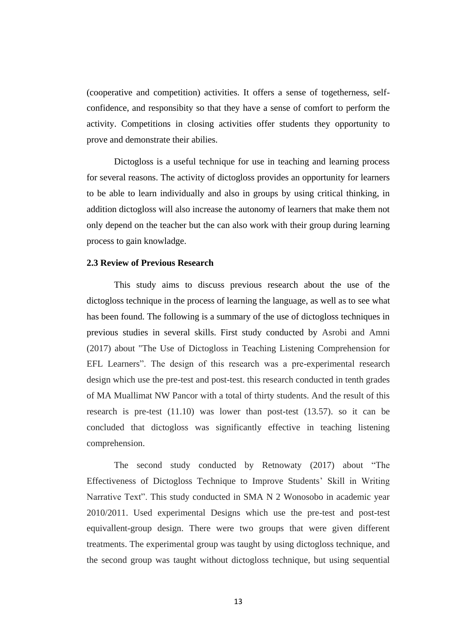(cooperative and competition) activities. It offers a sense of togetherness, selfconfidence, and responsibity so that they have a sense of comfort to perform the activity. Competitions in closing activities offer students they opportunity to prove and demonstrate their abilies.

Dictogloss is a useful technique for use in teaching and learning process for several reasons. The activity of dictogloss provides an opportunity for learners to be able to learn individually and also in groups by using critical thinking, in addition dictogloss will also increase the autonomy of learners that make them not only depend on the teacher but the can also work with their group during learning process to gain knowladge.

### **2.3 Review of Previous Research**

This study aims to discuss previous research about the use of the dictogloss technique in the process of learning the language, as well as to see what has been found. The following is a summary of the use of dictogloss techniques in previous studies in several skills. First study conducted by Asrobi and Amni (2017) about "The Use of Dictogloss in Teaching Listening Comprehension for EFL Learners". The design of this research was a pre-experimental research design which use the pre-test and post-test. this research conducted in tenth grades of MA Muallimat NW Pancor with a total of thirty students. And the result of this research is pre-test (11.10) was lower than post-test (13.57). so it can be concluded that dictogloss was significantly effective in teaching listening comprehension.

The second study conducted by Retnowaty (2017) about "The Effectiveness of Dictogloss Technique to Improve Students' Skill in Writing Narrative Text". This study conducted in SMA N 2 Wonosobo in academic year 2010/2011. Used experimental Designs which use the pre-test and post-test equivallent-group design. There were two groups that were given different treatments. The experimental group was taught by using dictogloss technique, and the second group was taught without dictogloss technique, but using sequential